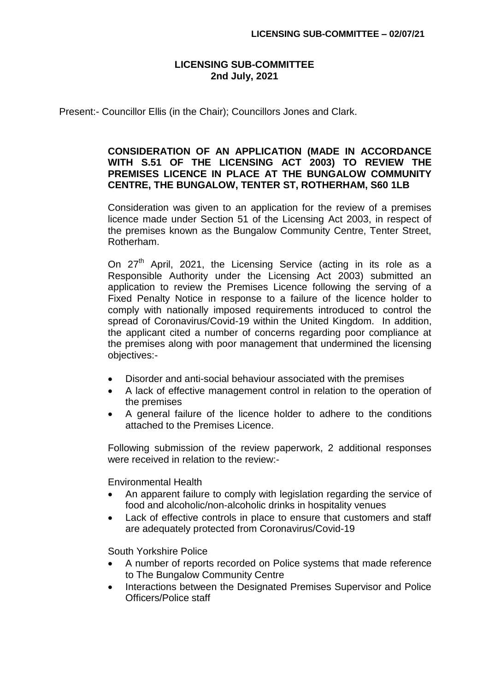### **LICENSING SUB-COMMITTEE 2nd July, 2021**

Present:- Councillor Ellis (in the Chair); Councillors Jones and Clark.

# **CONSIDERATION OF AN APPLICATION (MADE IN ACCORDANCE WITH S.51 OF THE LICENSING ACT 2003) TO REVIEW THE PREMISES LICENCE IN PLACE AT THE BUNGALOW COMMUNITY CENTRE, THE BUNGALOW, TENTER ST, ROTHERHAM, S60 1LB**

Consideration was given to an application for the review of a premises licence made under Section 51 of the Licensing Act 2003, in respect of the premises known as the Bungalow Community Centre, Tenter Street, Rotherham.

On 27<sup>th</sup> April, 2021, the Licensing Service (acting in its role as a Responsible Authority under the Licensing Act 2003) submitted an application to review the Premises Licence following the serving of a Fixed Penalty Notice in response to a failure of the licence holder to comply with nationally imposed requirements introduced to control the spread of Coronavirus/Covid-19 within the United Kingdom. In addition, the applicant cited a number of concerns regarding poor compliance at the premises along with poor management that undermined the licensing objectives:-

- Disorder and anti-social behaviour associated with the premises
- A lack of effective management control in relation to the operation of the premises
- A general failure of the licence holder to adhere to the conditions attached to the Premises Licence.

Following submission of the review paperwork, 2 additional responses were received in relation to the review:-

Environmental Health

- An apparent failure to comply with legislation regarding the service of food and alcoholic/non-alcoholic drinks in hospitality venues
- Lack of effective controls in place to ensure that customers and staff are adequately protected from Coronavirus/Covid-19

South Yorkshire Police

- A number of reports recorded on Police systems that made reference to The Bungalow Community Centre
- Interactions between the Designated Premises Supervisor and Police Officers/Police staff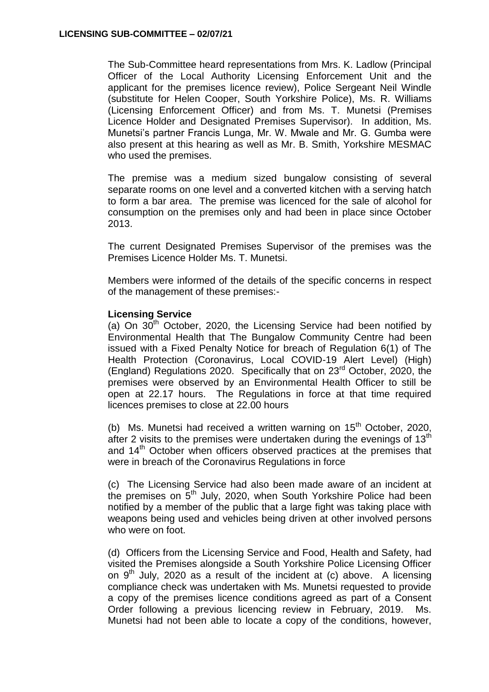The Sub-Committee heard representations from Mrs. K. Ladlow (Principal Officer of the Local Authority Licensing Enforcement Unit and the applicant for the premises licence review), Police Sergeant Neil Windle (substitute for Helen Cooper, South Yorkshire Police), Ms. R. Williams (Licensing Enforcement Officer) and from Ms. T. Munetsi (Premises Licence Holder and Designated Premises Supervisor). In addition, Ms. Munetsi's partner Francis Lunga, Mr. W. Mwale and Mr. G. Gumba were also present at this hearing as well as Mr. B. Smith, Yorkshire MESMAC who used the premises.

The premise was a medium sized bungalow consisting of several separate rooms on one level and a converted kitchen with a serving hatch to form a bar area. The premise was licenced for the sale of alcohol for consumption on the premises only and had been in place since October 2013.

The current Designated Premises Supervisor of the premises was the Premises Licence Holder Ms. T. Munetsi.

Members were informed of the details of the specific concerns in respect of the management of these premises:-

### **Licensing Service**

(a) On  $30<sup>th</sup>$  October, 2020, the Licensing Service had been notified by Environmental Health that The Bungalow Community Centre had been issued with a Fixed Penalty Notice for breach of Regulation 6(1) of The Health Protection (Coronavirus, Local COVID-19 Alert Level) (High) (England) Regulations 2020. Specifically that on 23rd October, 2020, the premises were observed by an Environmental Health Officer to still be open at 22.17 hours. The Regulations in force at that time required licences premises to close at 22.00 hours

(b) Ms. Munetsi had received a written warning on  $15<sup>th</sup>$  October, 2020, after 2 visits to the premises were undertaken during the evenings of  $13<sup>th</sup>$ and 14<sup>th</sup> October when officers observed practices at the premises that were in breach of the Coronavirus Regulations in force

(c) The Licensing Service had also been made aware of an incident at the premises on  $5<sup>th</sup>$  July, 2020, when South Yorkshire Police had been notified by a member of the public that a large fight was taking place with weapons being used and vehicles being driven at other involved persons who were on foot.

(d) Officers from the Licensing Service and Food, Health and Safety, had visited the Premises alongside a South Yorkshire Police Licensing Officer on  $9<sup>th</sup>$  July, 2020 as a result of the incident at (c) above. A licensing compliance check was undertaken with Ms. Munetsi requested to provide a copy of the premises licence conditions agreed as part of a Consent Order following a previous licencing review in February, 2019. Ms. Munetsi had not been able to locate a copy of the conditions, however,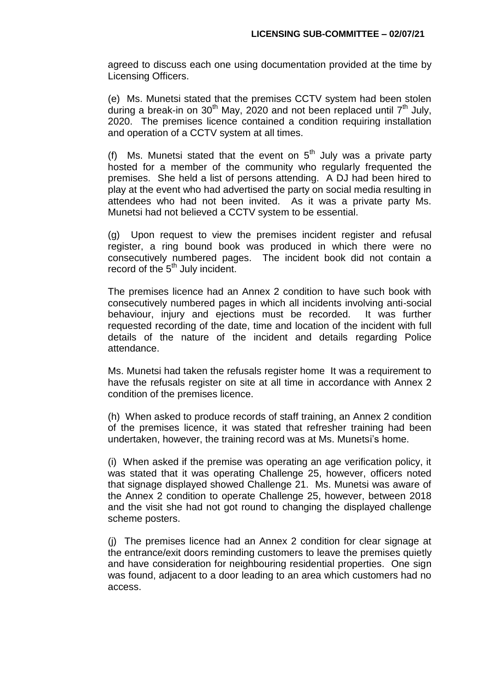agreed to discuss each one using documentation provided at the time by Licensing Officers.

(e) Ms. Munetsi stated that the premises CCTV system had been stolen during a break-in on 30<sup>th</sup> May, 2020 and not been replaced until  $7<sup>th</sup>$  July, 2020. The premises licence contained a condition requiring installation and operation of a CCTV system at all times.

(f) Ms. Munetsi stated that the event on  $5<sup>th</sup>$  July was a private party hosted for a member of the community who regularly frequented the premises. She held a list of persons attending. A DJ had been hired to play at the event who had advertised the party on social media resulting in attendees who had not been invited. As it was a private party Ms. Munetsi had not believed a CCTV system to be essential.

(g) Upon request to view the premises incident register and refusal register, a ring bound book was produced in which there were no consecutively numbered pages. The incident book did not contain a record of the 5<sup>th</sup> July incident.

The premises licence had an Annex 2 condition to have such book with consecutively numbered pages in which all incidents involving anti-social behaviour, injury and ejections must be recorded. It was further requested recording of the date, time and location of the incident with full details of the nature of the incident and details regarding Police attendance.

Ms. Munetsi had taken the refusals register home It was a requirement to have the refusals register on site at all time in accordance with Annex 2 condition of the premises licence.

(h) When asked to produce records of staff training, an Annex 2 condition of the premises licence, it was stated that refresher training had been undertaken, however, the training record was at Ms. Munetsi's home.

(i) When asked if the premise was operating an age verification policy, it was stated that it was operating Challenge 25, however, officers noted that signage displayed showed Challenge 21. Ms. Munetsi was aware of the Annex 2 condition to operate Challenge 25, however, between 2018 and the visit she had not got round to changing the displayed challenge scheme posters.

(j) The premises licence had an Annex 2 condition for clear signage at the entrance/exit doors reminding customers to leave the premises quietly and have consideration for neighbouring residential properties. One sign was found, adjacent to a door leading to an area which customers had no access.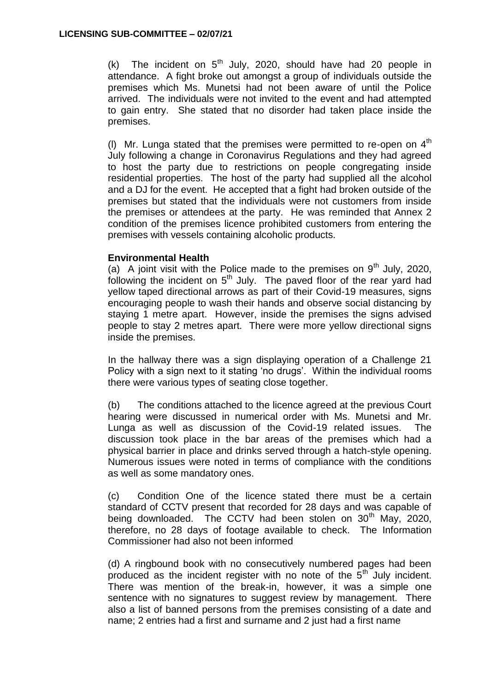(k) The incident on  $5<sup>th</sup>$  July, 2020, should have had 20 people in attendance. A fight broke out amongst a group of individuals outside the premises which Ms. Munetsi had not been aware of until the Police arrived. The individuals were not invited to the event and had attempted to gain entry. She stated that no disorder had taken place inside the premises.

(I) Mr. Lunga stated that the premises were permitted to re-open on  $4<sup>th</sup>$ July following a change in Coronavirus Regulations and they had agreed to host the party due to restrictions on people congregating inside residential properties. The host of the party had supplied all the alcohol and a DJ for the event. He accepted that a fight had broken outside of the premises but stated that the individuals were not customers from inside the premises or attendees at the party. He was reminded that Annex 2 condition of the premises licence prohibited customers from entering the premises with vessels containing alcoholic products.

# **Environmental Health**

(a) A joint visit with the Police made to the premises on  $9<sup>th</sup>$  July, 2020, following the incident on  $5<sup>th</sup>$  July. The paved floor of the rear yard had yellow taped directional arrows as part of their Covid-19 measures, signs encouraging people to wash their hands and observe social distancing by staying 1 metre apart. However, inside the premises the signs advised people to stay 2 metres apart. There were more yellow directional signs inside the premises.

In the hallway there was a sign displaying operation of a Challenge 21 Policy with a sign next to it stating 'no drugs'. Within the individual rooms there were various types of seating close together.

(b) The conditions attached to the licence agreed at the previous Court hearing were discussed in numerical order with Ms. Munetsi and Mr. Lunga as well as discussion of the Covid-19 related issues. The discussion took place in the bar areas of the premises which had a physical barrier in place and drinks served through a hatch-style opening. Numerous issues were noted in terms of compliance with the conditions as well as some mandatory ones.

(c) Condition One of the licence stated there must be a certain standard of CCTV present that recorded for 28 days and was capable of being downloaded. The CCTV had been stolen on 30<sup>th</sup> May, 2020, therefore, no 28 days of footage available to check. The Information Commissioner had also not been informed

(d) A ringbound book with no consecutively numbered pages had been produced as the incident register with no note of the  $5<sup>th</sup>$  July incident. There was mention of the break-in, however, it was a simple one sentence with no signatures to suggest review by management. There also a list of banned persons from the premises consisting of a date and name; 2 entries had a first and surname and 2 just had a first name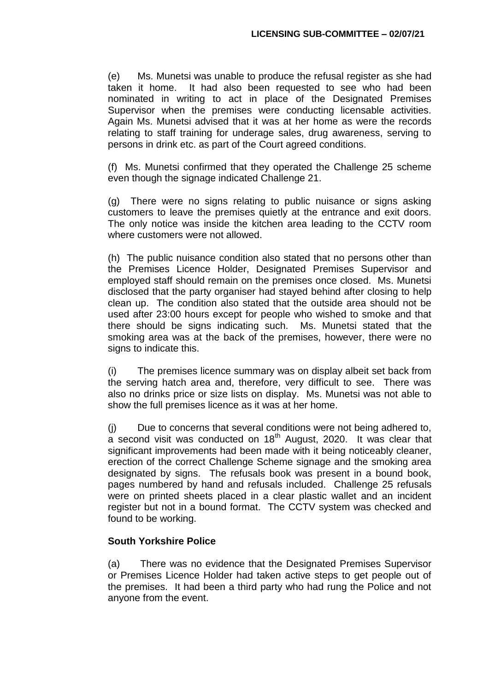(e) Ms. Munetsi was unable to produce the refusal register as she had taken it home. It had also been requested to see who had been nominated in writing to act in place of the Designated Premises Supervisor when the premises were conducting licensable activities. Again Ms. Munetsi advised that it was at her home as were the records relating to staff training for underage sales, drug awareness, serving to persons in drink etc. as part of the Court agreed conditions.

(f) Ms. Munetsi confirmed that they operated the Challenge 25 scheme even though the signage indicated Challenge 21.

(g) There were no signs relating to public nuisance or signs asking customers to leave the premises quietly at the entrance and exit doors. The only notice was inside the kitchen area leading to the CCTV room where customers were not allowed.

(h) The public nuisance condition also stated that no persons other than the Premises Licence Holder, Designated Premises Supervisor and employed staff should remain on the premises once closed. Ms. Munetsi disclosed that the party organiser had stayed behind after closing to help clean up. The condition also stated that the outside area should not be used after 23:00 hours except for people who wished to smoke and that there should be signs indicating such. Ms. Munetsi stated that the smoking area was at the back of the premises, however, there were no signs to indicate this.

(i) The premises licence summary was on display albeit set back from the serving hatch area and, therefore, very difficult to see. There was also no drinks price or size lists on display. Ms. Munetsi was not able to show the full premises licence as it was at her home.

(j) Due to concerns that several conditions were not being adhered to,  $a$  second visit was conducted on 18<sup>th</sup> August, 2020. It was clear that significant improvements had been made with it being noticeably cleaner, erection of the correct Challenge Scheme signage and the smoking area designated by signs. The refusals book was present in a bound book, pages numbered by hand and refusals included. Challenge 25 refusals were on printed sheets placed in a clear plastic wallet and an incident register but not in a bound format. The CCTV system was checked and found to be working.

# **South Yorkshire Police**

(a) There was no evidence that the Designated Premises Supervisor or Premises Licence Holder had taken active steps to get people out of the premises. It had been a third party who had rung the Police and not anyone from the event.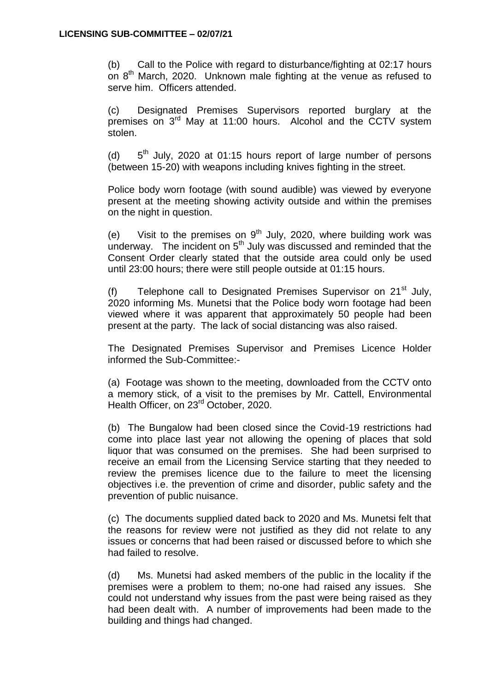(b) Call to the Police with regard to disturbance/fighting at 02:17 hours on 8<sup>th</sup> March, 2020. Unknown male fighting at the venue as refused to serve him. Officers attended.

(c) Designated Premises Supervisors reported burglary at the premises on 3<sup>rd</sup> May at 11:00 hours. Alcohol and the CCTV system stolen.

 $(d)$  $5<sup>th</sup>$  July, 2020 at 01:15 hours report of large number of persons (between 15-20) with weapons including knives fighting in the street.

Police body worn footage (with sound audible) was viewed by everyone present at the meeting showing activity outside and within the premises on the night in question.

(e) Visit to the premises on  $9^{th}$  July, 2020, where building work was underway. The incident on  $5<sup>th</sup>$  July was discussed and reminded that the Consent Order clearly stated that the outside area could only be used until 23:00 hours; there were still people outside at 01:15 hours.

(f) Telephone call to Designated Premises Supervisor on  $21<sup>st</sup>$  July, 2020 informing Ms. Munetsi that the Police body worn footage had been viewed where it was apparent that approximately 50 people had been present at the party. The lack of social distancing was also raised.

The Designated Premises Supervisor and Premises Licence Holder informed the Sub-Committee:-

(a) Footage was shown to the meeting, downloaded from the CCTV onto a memory stick, of a visit to the premises by Mr. Cattell, Environmental Health Officer, on 23<sup>rd</sup> October, 2020.

(b) The Bungalow had been closed since the Covid-19 restrictions had come into place last year not allowing the opening of places that sold liquor that was consumed on the premises. She had been surprised to receive an email from the Licensing Service starting that they needed to review the premises licence due to the failure to meet the licensing objectives i.e. the prevention of crime and disorder, public safety and the prevention of public nuisance.

(c) The documents supplied dated back to 2020 and Ms. Munetsi felt that the reasons for review were not justified as they did not relate to any issues or concerns that had been raised or discussed before to which she had failed to resolve.

(d) Ms. Munetsi had asked members of the public in the locality if the premises were a problem to them; no-one had raised any issues. She could not understand why issues from the past were being raised as they had been dealt with. A number of improvements had been made to the building and things had changed.